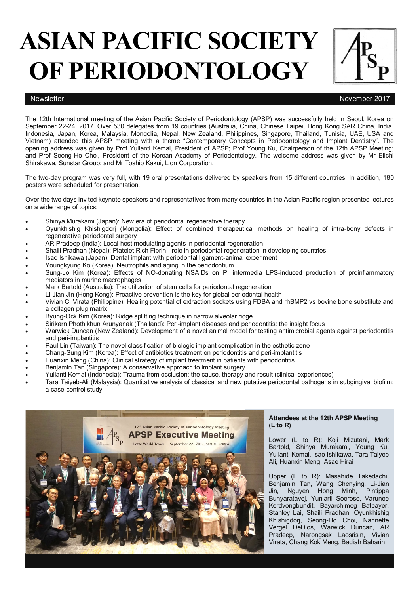## **ASIAN PACIFIC SOCIETY OF PERIODONTOLOGY**

Newsletter November 2017

The 12th International meeting of the Asian Pacific Society of Periodontology (APSP) was successfully held in Seoul, Korea on September 22-24, 2017. Over 530 delegates from 19 countries (Australia, China, Chinese Taipei, Hong Kong SAR China, India, Indonesia, Japan, Korea, Malaysia, Mongolia, Nepal, New Zealand, Philippines, Singapore, Thailand, Tunisia, UAE, USA and Vietnam) attended this APSP meeting with a theme "Contemporary Concepts in Periodontology and Implant Dentistry". The opening address was given by Prof Yulianti Kemal, President of APSP; Prof Young Ku, Chairperson of the 12th APSP Meeting; and Prof Seong-Ho Choi, President of the Korean Academy of Periodontology. The welcome address was given by Mr Eiichi Shirakawa, Sunstar Group; and Mr Toshio Kakui, Lion Corporation.

The two-day program was very full, with 19 oral presentations delivered by speakers from 15 different countries. In addition, 180 posters were scheduled for presentation.

Over the two days invited keynote speakers and representatives from many countries in the Asian Pacific region presented lectures on a wide range of topics:

- Shinya Murakami (Japan): New era of periodontal regenerative therapy
- Oyunkhishig Khishigdorj (Mongolia): Effect of combined therapeutical methods on healing of intra-bony defects in regenerative periodontal surgery
- AR Pradeep (India): Local host modulating agents in periodontal regeneration
- Shaili Pradhan (Nepal): Platelet Rich Fibrin role in periodontal regeneration in developing countries
- Isao Ishikawa (Japan): Dental implant with periodontal ligament-animal experiment
- Youngkyung Ko (Korea): Neutrophils and aging in the periodontium
- Sung-Jo Kim (Korea): Effects of NO-donating NSAIDs on P. intermedia LPS-induced production of proinflammatory mediators in murine macrophages
- Mark Bartold (Australia): The utilization of stem cells for periodontal regeneration
- Li-Jian Jin (Hong Kong): Proactive prevention is the key for global periodontal health
- Vivian C. Virata (Philippine): Healing potential of extraction sockets using FDBA and rhBMP2 vs bovine bone substitute and a collagen plug matrix
- Byung-Ock Kim (Korea): Ridge splitting technique in narrow alveolar ridge
- Sirikarn Phothikhun Arunyanak (Thailand): Peri-implant diseases and periodontitis: the insight focus
- Warwick Duncan (New Zealand): Development of a novel animal model for testing antimicrobial agents against periodontitis and peri-implantitis
- Paul Lin (Taiwan): The novel classification of biologic implant complication in the esthetic zone
- Chang-Sung Kim (Korea): Effect of antibiotics treatment on periodontitis and peri-implantitis
- Huanxin Meng (China): Clinical strategy of implant treatment in patients with periodontitis
- Benjamin Tan (Singapore): A conservative approach to implant surgery
- Yulianti Kemal (Indonesia): Trauma from occlusion: the cause, therapy and result (clinical experiences)
- Tara Taiyeb-Ali (Malaysia): Quantitative analysis of classical and new putative periodontal pathogens in subgingival biofilm: a case-control study



## **Attendees at the 12th APSP Meeting (L to R)**

Lower (L to R): Koji Mizutani, Mark Bartold, Shinya Murakami, Young Ku, Yulianti Kemal, Isao Ishikawa, Tara Taiyeb Ali, Huanxin Meng, Asae Hirai

Upper (L to R): Masahide Takedachi, Benjamin Tan, Wang Chenying, Li-Jian Jin, Nguyen Hong Minh, Pintippa Bunyaratavej, Yuniarti Soeroso, Varunee Kerdvongbundit, Bayarchimeg Batbayer, Stanley Lai, Shaili Pradhan, Oyunkhishig Khishigdorj, Seong-Ho Choi, Nannette Vergel DeDios, Warwick Duncan, AR Pradeep, Narongsak Laosrisin, Vivian Virata, Chang Kok Meng, Badiah Baharin